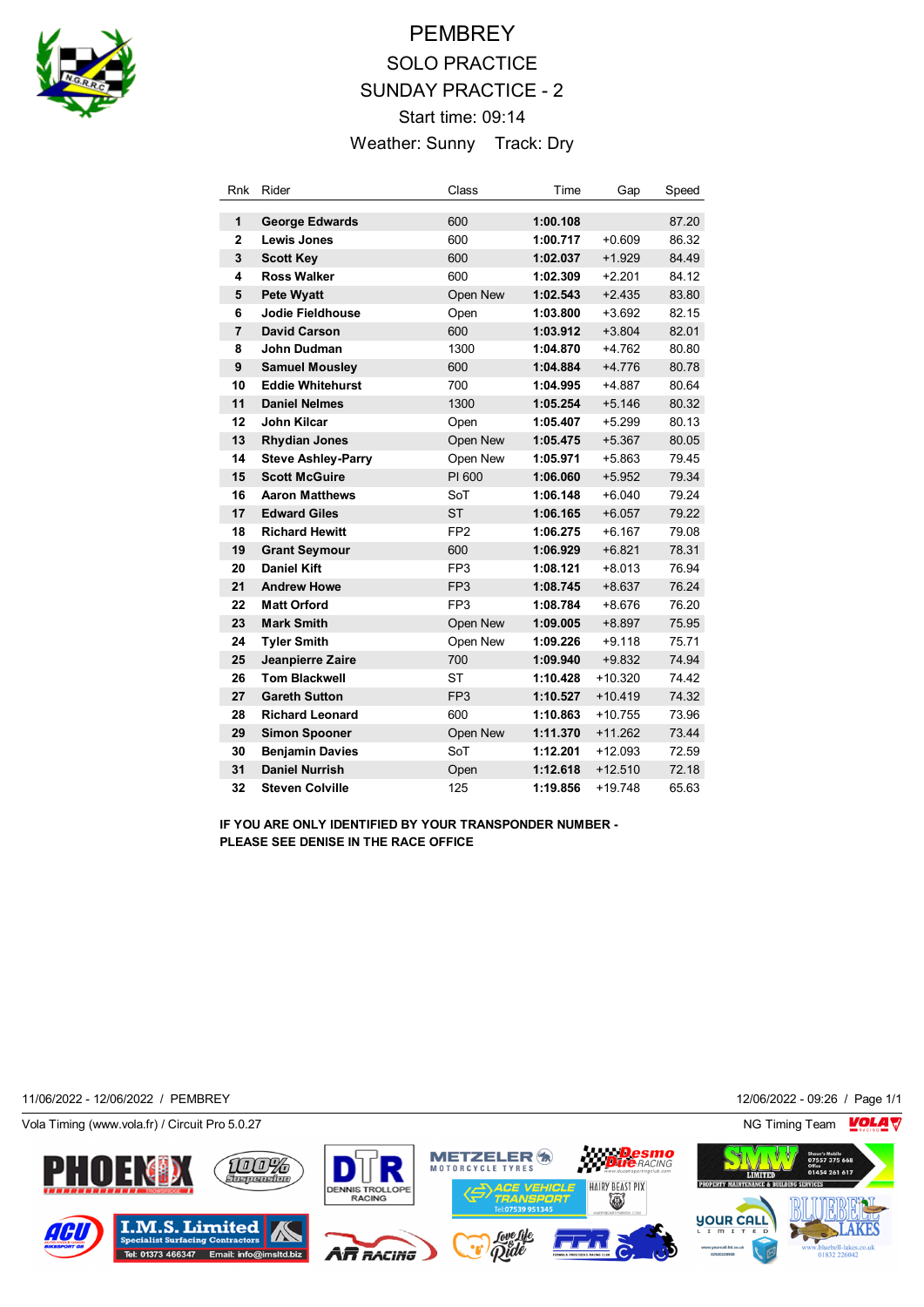

# **PEMBREY** SOLO PRACTICE SUNDAY PRACTICE - 2 Start time: 09:14 Weather: Sunny Track: Dry

| Rnk            | Rider                     | Class           | Time     | Gap       | Speed |
|----------------|---------------------------|-----------------|----------|-----------|-------|
| 1              | <b>George Edwards</b>     | 600             | 1:00.108 |           | 87.20 |
| $\overline{2}$ | Lewis Jones               | 600             | 1:00.717 | $+0.609$  | 86.32 |
| 3              | <b>Scott Key</b>          | 600             | 1:02.037 | $+1.929$  | 84.49 |
| 4              | Ross Walker               | 600             | 1:02.309 | $+2.201$  | 84.12 |
| 5              | <b>Pete Wyatt</b>         | Open New        | 1:02.543 | $+2.435$  | 83.80 |
| 6              | <b>Jodie Fieldhouse</b>   | Open            | 1:03.800 | $+3.692$  | 82.15 |
| $\overline{7}$ | <b>David Carson</b>       | 600             | 1:03.912 | $+3.804$  | 82.01 |
| 8              | John Dudman               | 1300            | 1:04.870 | $+4.762$  | 80.80 |
| 9              | <b>Samuel Mousley</b>     | 600             | 1:04.884 | $+4.776$  | 80.78 |
| 10             | <b>Eddie Whitehurst</b>   | 700             | 1:04.995 | $+4.887$  | 80.64 |
| 11             | <b>Daniel Nelmes</b>      | 1300            | 1:05.254 | $+5.146$  | 80.32 |
| 12             | John Kilcar               | Open            | 1:05.407 | $+5.299$  | 80.13 |
| 13             | <b>Rhydian Jones</b>      | Open New        | 1:05.475 | $+5.367$  | 80.05 |
| 14             | <b>Steve Ashley-Parry</b> | Open New        | 1:05.971 | $+5.863$  | 79.45 |
| 15             | <b>Scott McGuire</b>      | PI 600          | 1:06.060 | $+5.952$  | 79.34 |
| 16             | <b>Aaron Matthews</b>     | SoT             | 1:06.148 | $+6.040$  | 79.24 |
| 17             | <b>Edward Giles</b>       | <b>ST</b>       | 1:06.165 | $+6.057$  | 79.22 |
| 18             | <b>Richard Hewitt</b>     | FP <sub>2</sub> | 1:06.275 | $+6.167$  | 79.08 |
| 19             | <b>Grant Seymour</b>      | 600             | 1:06.929 | $+6.821$  | 78.31 |
| 20             | <b>Daniel Kift</b>        | FP <sub>3</sub> | 1:08.121 | $+8.013$  | 76.94 |
| 21             | <b>Andrew Howe</b>        | FP <sub>3</sub> | 1:08.745 | $+8.637$  | 76.24 |
| 22             | <b>Matt Orford</b>        | FP <sub>3</sub> | 1:08.784 | $+8.676$  | 76.20 |
| 23             | <b>Mark Smith</b>         | Open New        | 1:09.005 | $+8.897$  | 75.95 |
| 24             | <b>Tyler Smith</b>        | Open New        | 1:09.226 | $+9.118$  | 75.71 |
| 25             | Jeanpierre Zaire          | 700             | 1:09.940 | $+9.832$  | 74.94 |
| 26             | <b>Tom Blackwell</b>      | <b>ST</b>       | 1:10.428 | $+10.320$ | 74.42 |
| 27             | <b>Gareth Sutton</b>      | FP <sub>3</sub> | 1:10.527 | $+10.419$ | 74.32 |
| 28             | <b>Richard Leonard</b>    | 600             | 1:10.863 | $+10.755$ | 73.96 |
| 29             | <b>Simon Spooner</b>      | Open New        | 1:11.370 | $+11.262$ | 73.44 |
| 30             | <b>Benjamin Davies</b>    | SoT             | 1:12.201 | $+12.093$ | 72.59 |
| 31             | <b>Daniel Nurrish</b>     | Open            | 1:12.618 | $+12.510$ | 72.18 |
| 32             | <b>Steven Colville</b>    | 125             | 1:19.856 | +19.748   | 65.63 |

**IF YOU ARE ONLY IDENTIFIED BY YOUR TRANSPONDER NUMBER - PLEASE SEE DENISE IN THE RACE OFFICE**

11/06/2022 - 12/06/2022 / PEMBREY 12/06/2022 - 09:26 / Page 1/1

Vola Timing (www.vola.fr) / Circuit Pro 5.0.27 NG Timing Team NG Timing Team NG Timing Team NG Timing Team NG

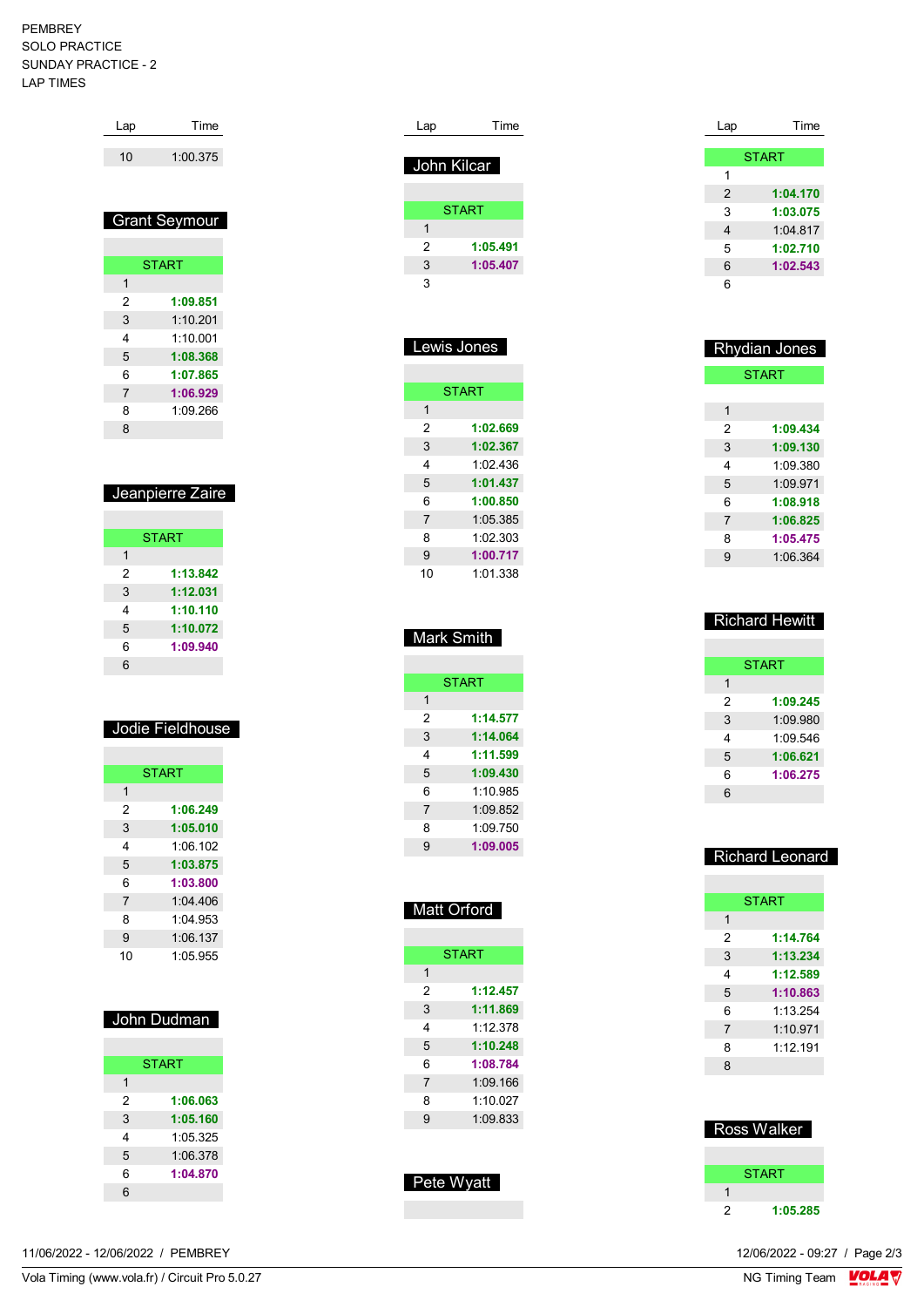#### PEMBREY SOLO PRACTICE SUNDAY PRACTICE - 2 LAP TIMES

| Lap | Time     |
|-----|----------|
| 10  | 1:00.375 |

# Grant Seymour

| <b>START</b> |          |  |
|--------------|----------|--|
| 1            |          |  |
| 2            | 1:09.851 |  |
| 3            | 1.10201  |  |
| 4            | 1:10.001 |  |
| 5            | 1:08.368 |  |
| 6            | 1:07.865 |  |
| 7            | 1:06.929 |  |
| 8            | 1.09266  |  |
| 8            |          |  |

### Jeanpierre Zaire

|   | <b>START</b> |
|---|--------------|
| 1 |              |
| 2 | 1:13.842     |
| 3 | 1:12.031     |
| 4 | 1:10.110     |
| 5 | 1:10.072     |
| 6 | 1:09.940     |
| հ |              |

# Jodie Fieldhouse

| <b>START</b>   |          |  |
|----------------|----------|--|
| 1              |          |  |
| 2              | 1:06.249 |  |
| 3              | 1:05.010 |  |
| 4              | 1:06.102 |  |
| 5              | 1:03.875 |  |
| 6              | 1:03.800 |  |
| $\overline{7}$ | 1.04406  |  |
| 8              | 1:04.953 |  |
| 9              | 1:06.137 |  |
| 10             | 1.05955  |  |

| John Dudman  |          |  |
|--------------|----------|--|
|              |          |  |
| <b>START</b> |          |  |
| 1            |          |  |
| 2            | 1:06.063 |  |
| 3            | 1:05.160 |  |
| 4            | 1:05.325 |  |
| 5            | 1:06.378 |  |
| 6            | 1:04.870 |  |
| 6            |          |  |

|  | 11/06/2022 - 12/06/2022 /<br>PEMBREY | 12/06/2022 - 09:27 / Page 2/3 |
|--|--------------------------------------|-------------------------------|
|--|--------------------------------------|-------------------------------|

| Lap | Time         |
|-----|--------------|
|     | John Kilcar  |
|     |              |
|     | <b>START</b> |
| 1   |              |
| 2   | 1:05.491     |
| 3   | 1:05.407     |
| 3   |              |
|     |              |

| <u>Lewis Jones</u> |          |  |
|--------------------|----------|--|
|                    |          |  |
| <b>START</b>       |          |  |
| 1                  |          |  |
| 2                  | 1:02.669 |  |
| 3                  | 1:02.367 |  |
| 4                  | 1:02.436 |  |
| 5                  | 1:01.437 |  |
| 6                  | 1:00.850 |  |
| 7                  | 1:05.385 |  |
| 8                  | 1:02.303 |  |
| 9                  | 1:00.717 |  |
| 10                 | 1:01.338 |  |

### Mark Smith

| <b>START</b> |
|--------------|
|              |
| 1:14.577     |
| 1:14.064     |
| 1:11.599     |
| 1:09.430     |
| 1.10985      |
| 1:09.852     |
| 1.09750      |
| 1:09.005     |
|              |

| <b>Matt Orford</b> |              |  |  |  |
|--------------------|--------------|--|--|--|
|                    |              |  |  |  |
|                    | <b>START</b> |  |  |  |
| 1                  |              |  |  |  |
| 2                  | 1:12.457     |  |  |  |
| 3                  | 1:11.869     |  |  |  |
| 4                  | 1.12.378     |  |  |  |
| 5                  | 1:10.248     |  |  |  |
| 6                  | 1:08.784     |  |  |  |
| $\overline{7}$     | 1:09.166     |  |  |  |
| 8                  | 1.10027      |  |  |  |
| 9                  | 1:09.833     |  |  |  |
|                    |              |  |  |  |

| Pete Wvatt |
|------------|
|            |
|            |

| Lap            | Time         |
|----------------|--------------|
|                |              |
|                | <b>START</b> |
| 1              |              |
| $\overline{2}$ | 1:04.170     |
| 3              | 1:03.075     |
| 4              | 1:04.817     |
| 5              | 1:02.710     |
| 6              | 1:02.543     |
| 6              |              |

| <b>Rhydian Jones</b> |          |
|----------------------|----------|
| <b>START</b>         |          |
|                      |          |
| 1                    |          |
| 2                    | 1:09.434 |
| 3                    | 1:09.130 |
| 4                    | 1.09.380 |
| 5                    | 1.09.971 |
| 6                    | 1:08.918 |
| 7                    | 1:06.825 |
| 8                    | 1:05.475 |
| 9                    | 1.06.364 |

### Richard Hewitt

| <b>START</b> |
|--------------|
|              |
| 1:09.245     |
| 1:09.980     |
| 1:09.546     |
| 1:06.621     |
| 1:06.275     |
|              |
|              |

### Richard Leonard

| <b>START</b>   |          |
|----------------|----------|
| 1              |          |
| 2              | 1:14.764 |
| 3              | 1:13.234 |
| 4              | 1:12.589 |
| 5              | 1:10.863 |
| 6              | 1.13254  |
| $\overline{7}$ | 1.10971  |
| 8              | 1.12191  |
| 8              |          |

# Ross Walker

|   | <b>START</b> |
|---|--------------|
|   |              |
| 2 | 1:05.285     |